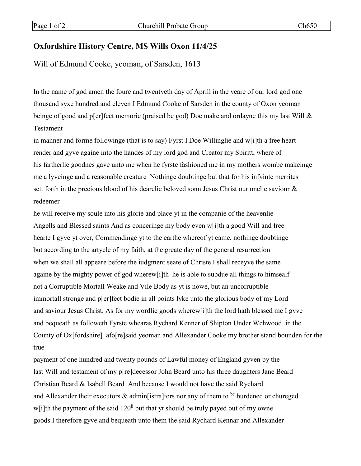## **Oxfordshire History Centre, MS Wills Oxon 11/4/25**

Will of Edmund Cooke, yeoman, of Sarsden, 1613

In the name of god amen the foure and twentyeth day of Aprill in the yeare of our lord god one thousand syxe hundred and eleven I Edmund Cooke of Sarsden in the county of Oxon yeoman beinge of good and p[er]fect memorie (praised be god) Doe make and ordayne this my last Will & Testament

in manner and forme followinge (that is to say) Fyrst I Doe Willinglie and w[i]th a free heart render and gyve againe into the handes of my lord god and Creator my Spiritt, where of his fartherlie goodnes gave unto me when he fyrste fashioned me in my mothers wombe makeinge me a lyveinge and a reasonable creature Nothinge doubtinge but that for his infyinte merrites sett forth in the precious blood of his dearelie beloved sonn Jesus Christ our onelie saviour & redeemer

he will receive my soule into his glorie and place yt in the companie of the heavenlie Angells and Blessed saints And as conceringe my body even w[i]th a good Will and free hearte I gyve yt over, Commendinge yt to the earthe whereof yt came, nothinge doubtinge but according to the artycle of my faith, at the greate day of the general resurrection when we shall all appeare before the iudgment seate of Christe I shall receyve the same againe by the mighty power of god wherew[i]th he is able to subdue all things to himsealf not a Corruptible Mortall Weake and Vile Body as yt is nowe, but an uncorruptible immortall stronge and p[er]fect bodie in all points lyke unto the glorious body of my Lord and saviour Jesus Christ. As for my wordlie goods wherew[i]th the lord hath blessed me I gyve and bequeath as followeth Fyrste whearas Rychard Kenner of Shipton Under Wchwood in the County of Ox[fordshire] afo[re]said yeoman and Allexander Cooke my brother stand bounden for the true

payment of one hundred and twenty pounds of Lawful money of England gyven by the last Will and testament of my p[re]decessor John Beard unto his three daughters Jane Beard Christian Beard & Isabell Beard And because I would not have the said Rychard and Allexander their executors  $\&$  admin[istra]tors nor any of them to be burdened or chureged w[i]th the payment of the said  $120<sup>li</sup>$  but that yt should be truly payed out of my owne goods I therefore gyve and bequeath unto them the said Rychard Kennar and Allexander